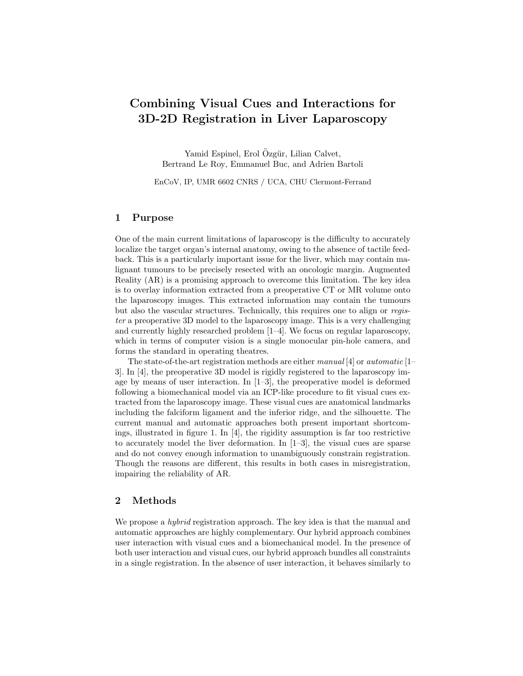# Combining Visual Cues and Interactions for 3D-2D Registration in Liver Laparoscopy

Yamid Espinel, Erol Özgür, Lilian Calvet, Bertrand Le Roy, Emmanuel Buc, and Adrien Bartoli

EnCoV, IP, UMR 6602 CNRS / UCA, CHU Clermont-Ferrand

# 1 Purpose

One of the main current limitations of laparoscopy is the difficulty to accurately localize the target organ's internal anatomy, owing to the absence of tactile feedback. This is a particularly important issue for the liver, which may contain malignant tumours to be precisely resected with an oncologic margin. Augmented Reality (AR) is a promising approach to overcome this limitation. The key idea is to overlay information extracted from a preoperative CT or MR volume onto the laparoscopy images. This extracted information may contain the tumours but also the vascular structures. Technically, this requires one to align or register a preoperative 3D model to the laparoscopy image. This is a very challenging and currently highly researched problem [1–4]. We focus on regular laparoscopy, which in terms of computer vision is a single monocular pin-hole camera, and forms the standard in operating theatres.

The state-of-the-art registration methods are either manual [4] or automatic [1– 3]. In [4], the preoperative 3D model is rigidly registered to the laparoscopy image by means of user interaction. In [1–3], the preoperative model is deformed following a biomechanical model via an ICP-like procedure to fit visual cues extracted from the laparoscopy image. These visual cues are anatomical landmarks including the falciform ligament and the inferior ridge, and the silhouette. The current manual and automatic approaches both present important shortcomings, illustrated in figure 1. In [4], the rigidity assumption is far too restrictive to accurately model the liver deformation. In [1–3], the visual cues are sparse and do not convey enough information to unambiguously constrain registration. Though the reasons are different, this results in both cases in misregistration, impairing the reliability of AR.

# 2 Methods

We propose a *hybrid* registration approach. The key idea is that the manual and automatic approaches are highly complementary. Our hybrid approach combines user interaction with visual cues and a biomechanical model. In the presence of both user interaction and visual cues, our hybrid approach bundles all constraints in a single registration. In the absence of user interaction, it behaves similarly to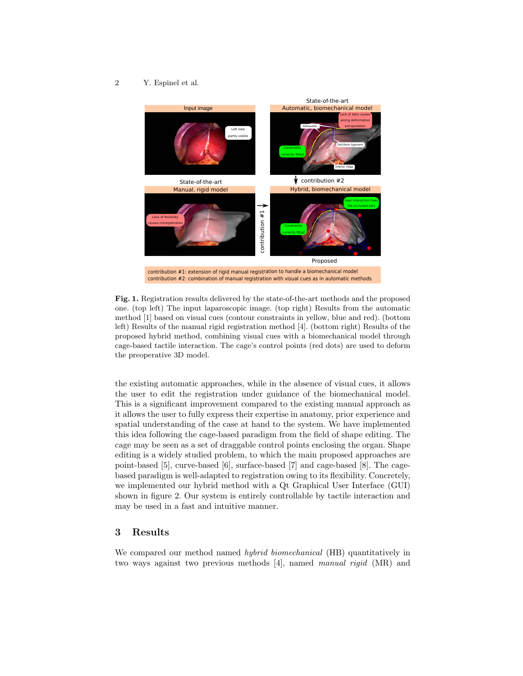#### 2 Y. Espinel et al.



Fig. 1. Registration results delivered by the state-of-the-art methods and the proposed one. (top left) The input laparoscopic image. (top right) Results from the automatic method [1] based on visual cues (contour constraints in yellow, blue and red). (bottom left) Results of the manual rigid registration method [4]. (bottom right) Results of the proposed hybrid method, combining visual cues with a biomechanical model through cage-based tactile interaction. The cage's control points (red dots) are used to deform the preoperative 3D model.

the existing automatic approaches, while in the absence of visual cues, it allows the user to edit the registration under guidance of the biomechanical model. This is a significant improvement compared to the existing manual approach as it allows the user to fully express their expertise in anatomy, prior experience and spatial understanding of the case at hand to the system. We have implemented this idea following the cage-based paradigm from the field of shape editing. The cage may be seen as a set of draggable control points enclosing the organ. Shape editing is a widely studied problem, to which the main proposed approaches are point-based [5], curve-based [6], surface-based [7] and cage-based [8]. The cagebased paradigm is well-adapted to registration owing to its flexibility. Concretely, we implemented our hybrid method with a Qt Graphical User Interface (GUI) shown in figure 2. Our system is entirely controllable by tactile interaction and may be used in a fast and intuitive manner.

# 3 Results

We compared our method named *hybrid biomechanical* (HB) quantitatively in two ways against two previous methods [4], named manual rigid (MR) and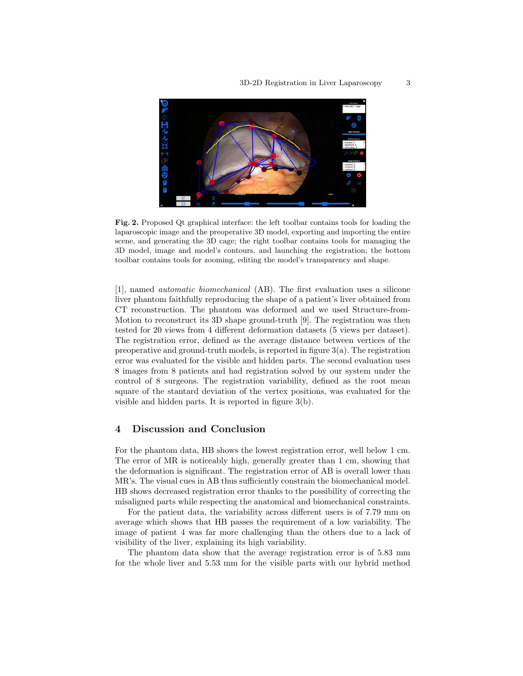

Fig. 2. Proposed Qt graphical interface: the left toolbar contains tools for loading the laparoscopic image and the preoperative 3D model, exporting and importing the entire scene, and generating the 3D cage; the right toolbar contains tools for managing the 3D model, image and model's contours, and launching the registration; the bottom toolbar contains tools for zooming, editing the model's transparency and shape.

[1], named automatic biomechanical (AB). The first evaluation uses a silicone liver phantom faithfully reproducing the shape of a patient's liver obtained from CT reconstruction. The phantom was deformed and we used Structure-from-Motion to reconstruct its 3D shape ground-truth [9]. The registration was then tested for 20 views from 4 different deformation datasets (5 views per dataset). The registration error, defined as the average distance between vertices of the preoperative and ground-truth models, is reported in figure 3(a). The registration error was evaluated for the visible and hidden parts. The second evaluation uses 8 images from 8 patients and had registration solved by our system under the control of 8 surgeons. The registration variability, defined as the root mean square of the stantard deviation of the vertex positions, was evaluated for the visible and hidden parts. It is reported in figure 3(b).

### 4 Discussion and Conclusion

For the phantom data, HB shows the lowest registration error, well below 1 cm. The error of MR is noticeably high, generally greater than 1 cm, showing that the deformation is significant. The registration error of AB is overall lower than MR's. The visual cues in AB thus sufficiently constrain the biomechanical model. HB shows decreased registration error thanks to the possibility of correcting the misaligned parts while respecting the anatomical and biomechanical constraints.

For the patient data, the variability across different users is of 7.79 mm on average which shows that HB passes the requirement of a low variability. The image of patient 4 was far more challenging than the others due to a lack of visibility of the liver, explaining its high variability.

The phantom data show that the average registration error is of 5.83 mm for the whole liver and 5.53 mm for the visible parts with our hybrid method